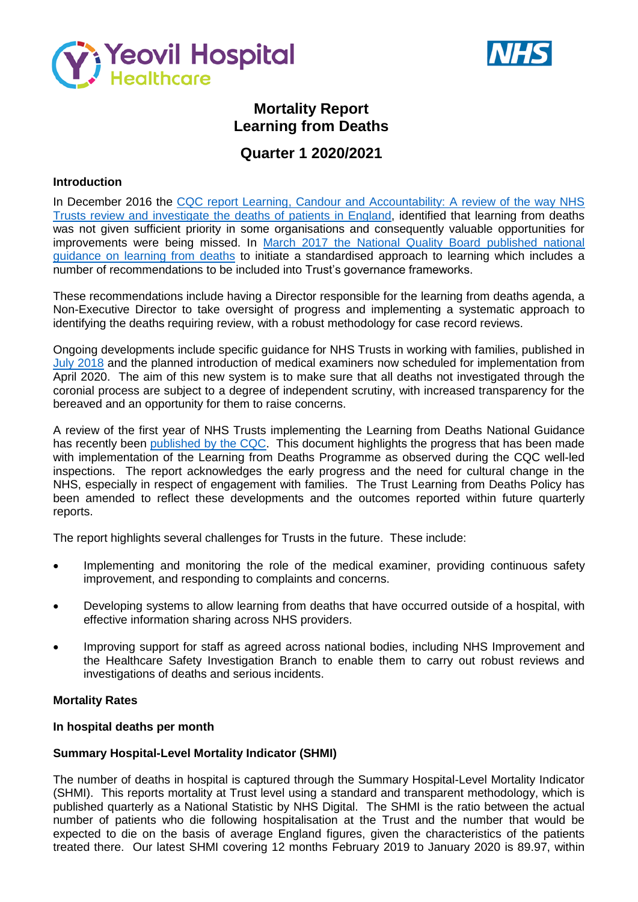



# **Mortality Report Learning from Deaths**

# **Quarter 1 2020/2021**

### **Introduction**

In December 2016 the CQC report Learning, Candour and Accountability: A review of the way NHS [Trusts review and investigate the](https://www.cqc.org.uk/sites/default/files/20161212-learning-candour-accountability-summary.pdf) deaths of patients in England, identified that learning from deaths was not given sufficient priority in some organisations and consequently valuable opportunities for improvements were being missed. In [March 2017 the National Quality Board published national](https://www.england.nhs.uk/wp-content/uploads/2017/03/nqb-national-guidance-learning-from-deaths.pdf)  [guidance on learning from deaths](https://www.england.nhs.uk/wp-content/uploads/2017/03/nqb-national-guidance-learning-from-deaths.pdf) to initiate a standardised approach to learning which includes a number of recommendations to be included into Trust's governance frameworks.

These recommendations include having a Director responsible for the learning from deaths agenda, a Non-Executive Director to take oversight of progress and implementing a systematic approach to identifying the deaths requiring review, with a robust methodology for case record reviews.

Ongoing developments include specific guidance for NHS Trusts in working with families, published in July [2018](https://www.england.nhs.uk/wp-content/uploads/2018/08/learning-from-deaths-working-with-families-v2.pdf) and the planned introduction of medical examiners now scheduled for implementation from April 2020. The aim of this new system is to make sure that all deaths not investigated through the coronial process are subject to a degree of independent scrutiny, with increased transparency for the bereaved and an opportunity for them to raise concerns.

A review of the first year of NHS Trusts implementing the Learning from Deaths National Guidance has recently been [published by the CQC.](https://www.cqc.org.uk/publications/themed-work/learning-deaths) This document highlights the progress that has been made with implementation of the Learning from Deaths Programme as observed during the CQC well-led inspections. The report acknowledges the early progress and the need for cultural change in the NHS, especially in respect of engagement with families. The Trust Learning from Deaths Policy has been amended to reflect these developments and the outcomes reported within future quarterly reports.

The report highlights several challenges for Trusts in the future. These include:

- Implementing and monitoring the role of the medical examiner, providing continuous safety improvement, and responding to complaints and concerns.
- Developing systems to allow learning from deaths that have occurred outside of a hospital, with effective information sharing across NHS providers.
- Improving support for staff as agreed across national bodies, including NHS Improvement and the Healthcare Safety Investigation Branch to enable them to carry out robust reviews and investigations of deaths and serious incidents.

### **Mortality Rates**

#### **In hospital deaths per month**

### **Summary Hospital-Level Mortality Indicator (SHMI)**

The number of deaths in hospital is captured through the Summary Hospital-Level Mortality Indicator (SHMI). This reports mortality at Trust level using a standard and transparent methodology, which is published quarterly as a National Statistic by NHS Digital. The SHMI is the ratio between the actual number of patients who die following hospitalisation at the Trust and the number that would be expected to die on the basis of average England figures, given the characteristics of the patients treated there. Our latest SHMI covering 12 months February 2019 to January 2020 is 89.97, within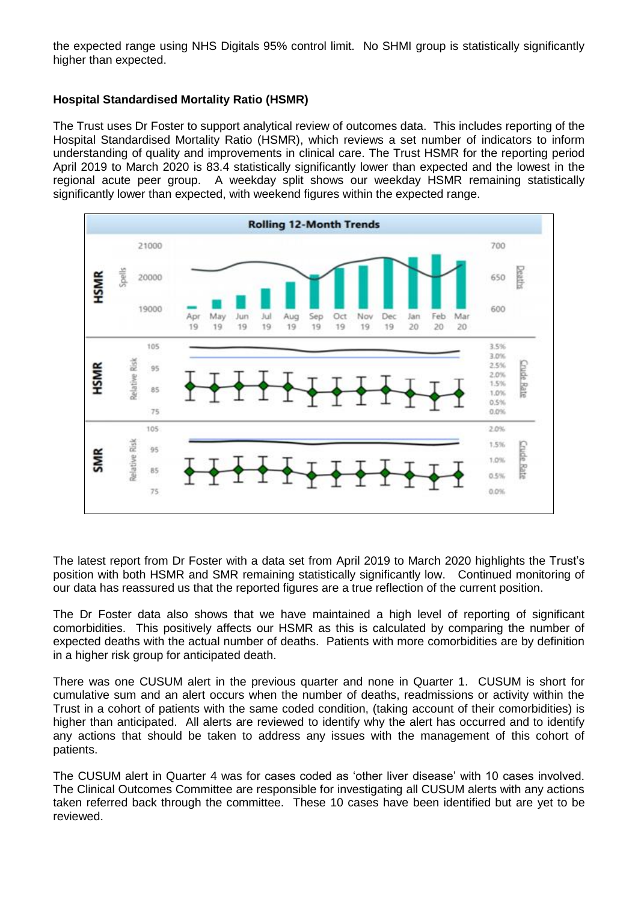the expected range using NHS Digitals 95% control limit. No SHMI group is statistically significantly higher than expected.

### **Hospital Standardised Mortality Ratio (HSMR)**

The Trust uses Dr Foster to support analytical review of outcomes data. This includes reporting of the Hospital Standardised Mortality Ratio (HSMR), which reviews a set number of indicators to inform understanding of quality and improvements in clinical care. The Trust HSMR for the reporting period April 2019 to March 2020 is 83.4 statistically significantly lower than expected and the lowest in the regional acute peer group. A weekday split shows our weekday HSMR remaining statistically significantly lower than expected, with weekend figures within the expected range.



The latest report from Dr Foster with a data set from April 2019 to March 2020 highlights the Trust's position with both HSMR and SMR remaining statistically significantly low. Continued monitoring of our data has reassured us that the reported figures are a true reflection of the current position.

The Dr Foster data also shows that we have maintained a high level of reporting of significant comorbidities. This positively affects our HSMR as this is calculated by comparing the number of expected deaths with the actual number of deaths. Patients with more comorbidities are by definition in a higher risk group for anticipated death.

There was one CUSUM alert in the previous quarter and none in Quarter 1. CUSUM is short for cumulative sum and an alert occurs when the number of deaths, readmissions or activity within the Trust in a cohort of patients with the same coded condition, (taking account of their comorbidities) is higher than anticipated. All alerts are reviewed to identify why the alert has occurred and to identify any actions that should be taken to address any issues with the management of this cohort of patients.

The CUSUM alert in Quarter 4 was for cases coded as 'other liver disease' with 10 cases involved. The Clinical Outcomes Committee are responsible for investigating all CUSUM alerts with any actions taken referred back through the committee. These 10 cases have been identified but are yet to be reviewed.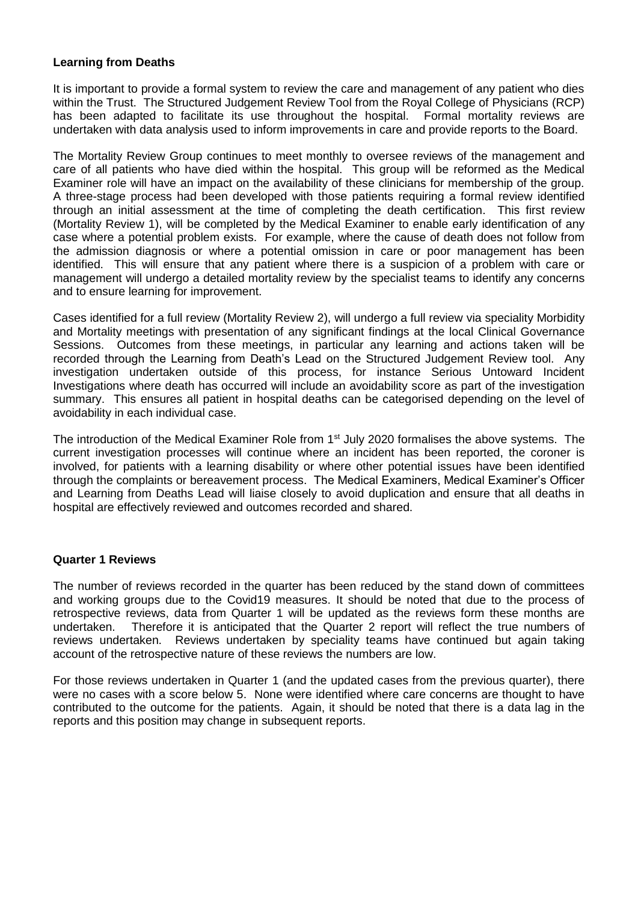#### **Learning from Deaths**

It is important to provide a formal system to review the care and management of any patient who dies within the Trust. The Structured Judgement Review Tool from the Royal College of Physicians (RCP) has been adapted to facilitate its use throughout the hospital. Formal mortality reviews are undertaken with data analysis used to inform improvements in care and provide reports to the Board.

The Mortality Review Group continues to meet monthly to oversee reviews of the management and care of all patients who have died within the hospital. This group will be reformed as the Medical Examiner role will have an impact on the availability of these clinicians for membership of the group. A three-stage process had been developed with those patients requiring a formal review identified through an initial assessment at the time of completing the death certification. This first review (Mortality Review 1), will be completed by the Medical Examiner to enable early identification of any case where a potential problem exists. For example, where the cause of death does not follow from the admission diagnosis or where a potential omission in care or poor management has been identified. This will ensure that any patient where there is a suspicion of a problem with care or management will undergo a detailed mortality review by the specialist teams to identify any concerns and to ensure learning for improvement.

Cases identified for a full review (Mortality Review 2), will undergo a full review via speciality Morbidity and Mortality meetings with presentation of any significant findings at the local Clinical Governance Sessions. Outcomes from these meetings, in particular any learning and actions taken will be recorded through the Learning from Death's Lead on the Structured Judgement Review tool. Any investigation undertaken outside of this process, for instance Serious Untoward Incident Investigations where death has occurred will include an avoidability score as part of the investigation summary. This ensures all patient in hospital deaths can be categorised depending on the level of avoidability in each individual case.

The introduction of the Medical Examiner Role from 1<sup>st</sup> July 2020 formalises the above systems. The current investigation processes will continue where an incident has been reported, the coroner is involved, for patients with a learning disability or where other potential issues have been identified through the complaints or bereavement process. The Medical Examiners, Medical Examiner's Officer and Learning from Deaths Lead will liaise closely to avoid duplication and ensure that all deaths in hospital are effectively reviewed and outcomes recorded and shared.

### **Quarter 1 Reviews**

The number of reviews recorded in the quarter has been reduced by the stand down of committees and working groups due to the Covid19 measures. It should be noted that due to the process of retrospective reviews, data from Quarter 1 will be updated as the reviews form these months are undertaken. Therefore it is anticipated that the Quarter 2 report will reflect the true numbers of reviews undertaken. Reviews undertaken by speciality teams have continued but again taking account of the retrospective nature of these reviews the numbers are low.

For those reviews undertaken in Quarter 1 (and the updated cases from the previous quarter), there were no cases with a score below 5. None were identified where care concerns are thought to have contributed to the outcome for the patients. Again, it should be noted that there is a data lag in the reports and this position may change in subsequent reports.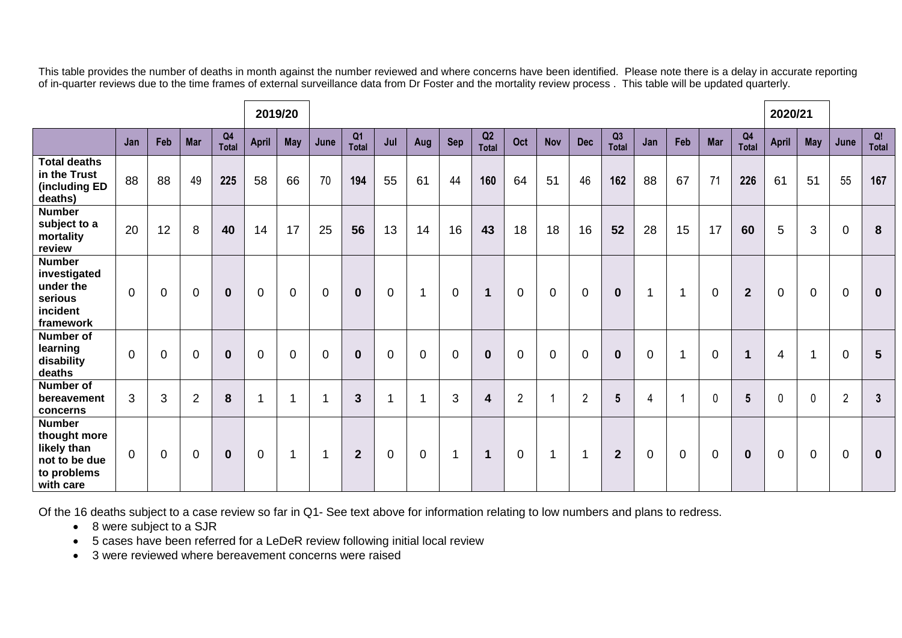This table provides the number of deaths in month against the number reviewed and where concerns have been identified. Please note there is a delay in accurate reporting of in-quarter reviews due to the time frames of external surveillance data from Dr Foster and the mortality review process . This table will be updated quarterly.

| 2019/20                                                                                   |                |                |                |                                |              |                |          |                                |                |                |                |                    |                |                |                |                    |             |                          |                |                         | 2020/21        |                |                |                    |
|-------------------------------------------------------------------------------------------|----------------|----------------|----------------|--------------------------------|--------------|----------------|----------|--------------------------------|----------------|----------------|----------------|--------------------|----------------|----------------|----------------|--------------------|-------------|--------------------------|----------------|-------------------------|----------------|----------------|----------------|--------------------|
|                                                                                           | Jan            | Feb            | <b>Mar</b>     | Q <sub>4</sub><br><b>Total</b> | April        | <b>May</b>     | June     | Q <sub>1</sub><br><b>Total</b> | Jul            | Aug            | Sep            | Q2<br><b>Total</b> | Oct            | <b>Nov</b>     | <b>Dec</b>     | Q3<br><b>Total</b> | Jan         | Feb                      | <b>Mar</b>     | Q <sub>4</sub><br>Total | <b>April</b>   | <b>May</b>     | June           | Q!<br><b>Total</b> |
| <b>Total deaths</b><br>in the Trust<br>(including ED<br>deaths)                           | 88             | 88             | 49             | 225                            | 58           | 66             | 70       | 194                            | 55             | 61             | 44             | 160                | 64             | 51             | 46             | 162                | 88          | 67                       | 71             | 226                     | 61             | 51             | 55             | 167                |
| <b>Number</b><br>subject to a<br>mortality<br>review                                      | 20             | 12             | 8              | 40                             | 14           | 17             | 25       | 56                             | 13             | 14             | 16             | 43                 | 18             | 18             | 16             | 52                 | 28          | 15                       | 17             | 60                      | 5              | 3              | $\overline{0}$ | 8                  |
| <b>Number</b><br>investigated<br>under the<br>serious<br>incident<br>framework            | $\Omega$       | $\Omega$       | $\mathbf 0$    | $\mathbf 0$                    | $\Omega$     | $\Omega$       | $\Omega$ | $\mathbf{0}$                   | $\overline{0}$ | $\overline{1}$ | $\Omega$       | $\mathbf 1$        | $\mathbf 0$    | $\overline{0}$ | $\overline{0}$ | $\mathbf{0}$       | 1           | $\overline{1}$           | $\overline{0}$ | $\overline{2}$          | $\overline{0}$ | $\mathbf 0$    | $\overline{0}$ | $\mathbf 0$        |
| <b>Number of</b><br>learning<br>disability<br>deaths                                      | $\overline{0}$ | $\overline{0}$ | $\mathbf 0$    | $\bf{0}$                       | $\mathbf{0}$ | $\overline{0}$ | $\Omega$ | $\mathbf 0$                    | $\overline{0}$ | $\overline{0}$ | $\overline{0}$ | $\bf{0}$           | $\mathbf 0$    | $\overline{0}$ | $\overline{0}$ | $\mathbf 0$        | $\mathbf 0$ | $\overline{\phantom{a}}$ | $\overline{0}$ | $\mathbf 1$             | 4              | $\overline{1}$ | $\overline{0}$ | $5\phantom{1}$     |
| Number of<br>bereavement<br>concerns                                                      | 3              | 3              | $\overline{2}$ | 8                              | ٠            | -1             |          | $\mathbf{3}$                   |                | -4             | 3              | 4                  | $\overline{2}$ | $\overline{A}$ | $\overline{2}$ | $5\overline{)}$    | 4           |                          | $\mathbf{0}$   | $5\phantom{.0}$         | 0              | $\mathbf{0}$   | $\overline{2}$ | $\mathbf{3}$       |
| <b>Number</b><br>thought more<br>likely than<br>not to be due<br>to problems<br>with care | $\mathbf 0$    | $\mathbf 0$    | $\mathbf 0$    | $\bf{0}$                       | 0            | -1             | 1        | $\mathbf{2}$                   | $\mathbf 0$    | $\mathbf 0$    | 1              | $\mathbf 1$        | $\mathbf 0$    | $\overline{1}$ | 1              | $\overline{2}$     | $\mathbf 0$ | $\mathbf 0$              | $\mathbf 0$    | $\mathbf 0$             | $\overline{0}$ | $\mathbf 0$    | $\overline{0}$ | $\mathbf 0$        |

Of the 16 deaths subject to a case review so far in Q1- See text above for information relating to low numbers and plans to redress.

- 8 were subject to a SJR
- 5 cases have been referred for a LeDeR review following initial local review
- 3 were reviewed where bereavement concerns were raised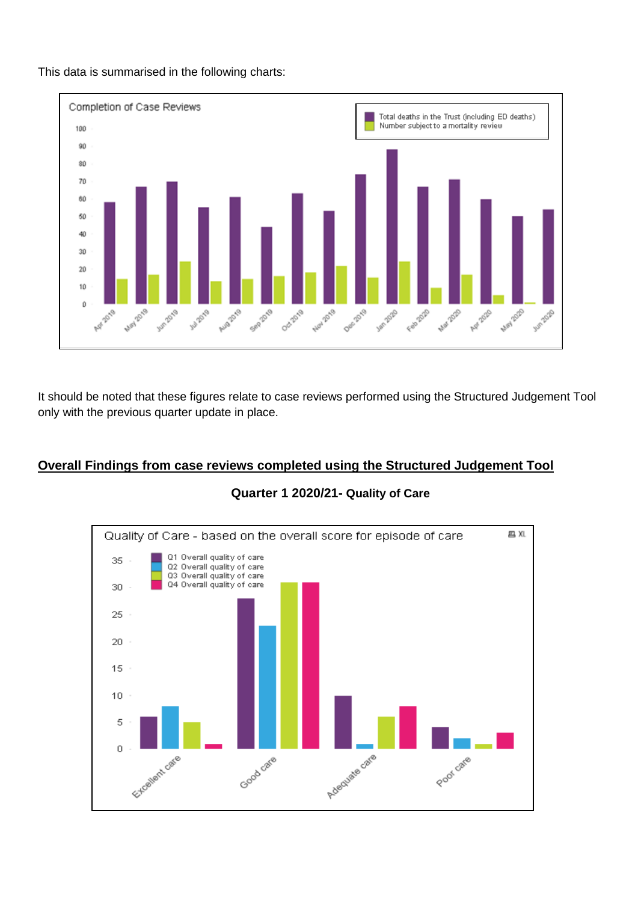

This data is summarised in the following charts:

It should be noted that these figures relate to case reviews performed using the Structured Judgement Tool only with the previous quarter update in place.

### **Overall Findings from case reviews completed using the Structured Judgement Tool**



### **Quarter 1 2020/21- Quality of Care**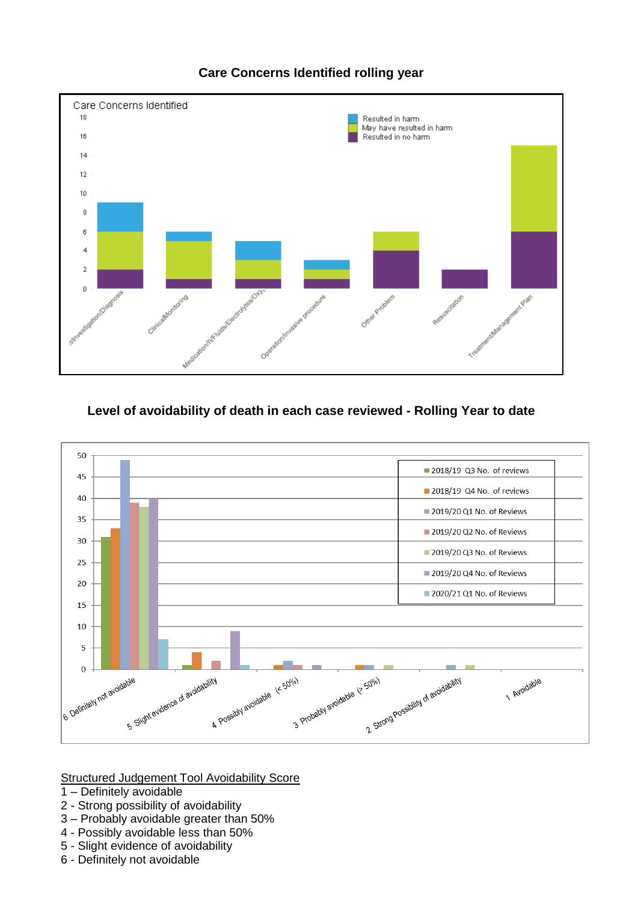

## **Care Concerns Identified rolling year**

## **Level of avoidability of death in each case reviewed - Rolling Year to date**



Structured Judgement Tool Avoidability Score

- 1 Definitely avoidable
- 2 Strong possibility of avoidability
- 3 Probably avoidable greater than 50%
- 4 Possibly avoidable less than 50%
- 5 Slight evidence of avoidability
- 6 Definitely not avoidable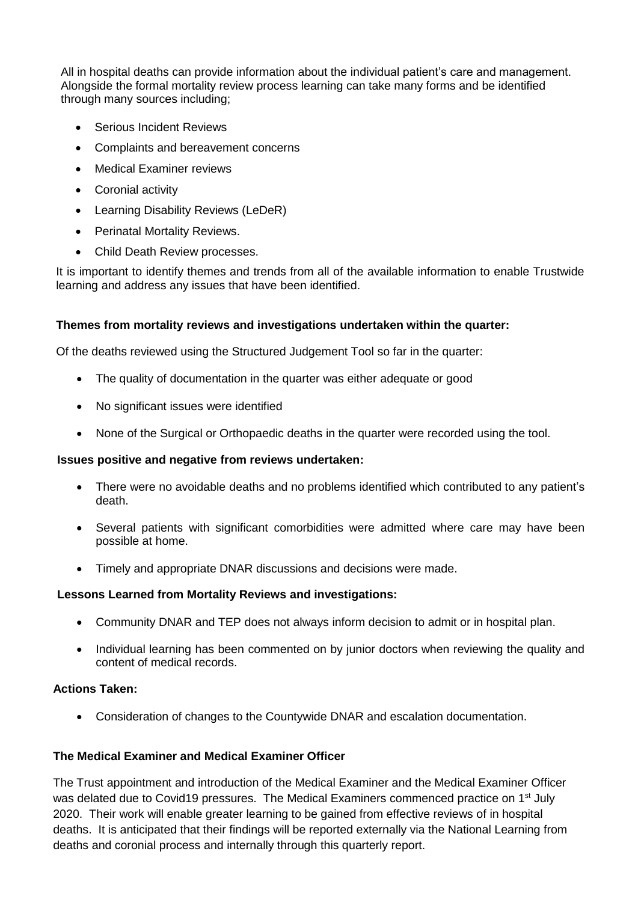All in hospital deaths can provide information about the individual patient's care and management. Alongside the formal mortality review process learning can take many forms and be identified through many sources including;

- **Serious Incident Reviews**
- Complaints and bereavement concerns
- Medical Examiner reviews
- Coronial activity
- Learning Disability Reviews (LeDeR)
- Perinatal Mortality Reviews.
- Child Death Review processes.

It is important to identify themes and trends from all of the available information to enable Trustwide learning and address any issues that have been identified.

### **Themes from mortality reviews and investigations undertaken within the quarter:**

Of the deaths reviewed using the Structured Judgement Tool so far in the quarter:

- The quality of documentation in the quarter was either adequate or good
- No significant issues were identified
- None of the Surgical or Orthopaedic deaths in the quarter were recorded using the tool.

#### **Issues positive and negative from reviews undertaken:**

- There were no avoidable deaths and no problems identified which contributed to any patient's death.
- Several patients with significant comorbidities were admitted where care may have been possible at home.
- Timely and appropriate DNAR discussions and decisions were made.

### **Lessons Learned from Mortality Reviews and investigations:**

- Community DNAR and TEP does not always inform decision to admit or in hospital plan.
- Individual learning has been commented on by junior doctors when reviewing the quality and content of medical records.

### **Actions Taken:**

Consideration of changes to the Countywide DNAR and escalation documentation.

### **The Medical Examiner and Medical Examiner Officer**

The Trust appointment and introduction of the Medical Examiner and the Medical Examiner Officer was delated due to Covid19 pressures. The Medical Examiners commenced practice on 1<sup>st</sup> July 2020. Their work will enable greater learning to be gained from effective reviews of in hospital deaths. It is anticipated that their findings will be reported externally via the National Learning from deaths and coronial process and internally through this quarterly report.